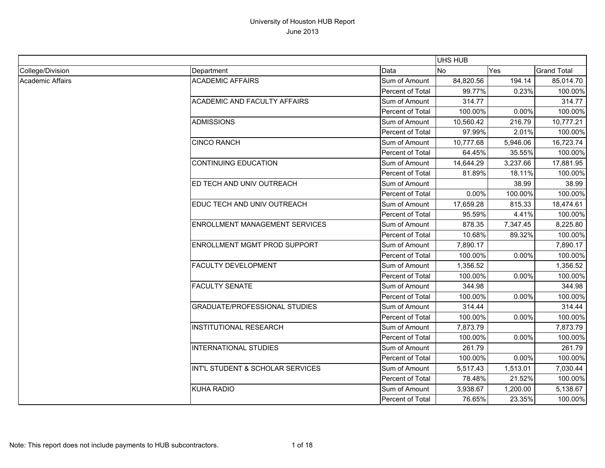|                  |                                       |                  | <b>UHS HUB</b> |          |                    |
|------------------|---------------------------------------|------------------|----------------|----------|--------------------|
| College/Division | Department                            | Data             | <b>No</b>      | Yes      | <b>Grand Total</b> |
| Academic Affairs | <b>ACADEMIC AFFAIRS</b>               | Sum of Amount    | 84,820.56      | 194.14   | 85,014.70          |
|                  |                                       | Percent of Total | 99.77%         | 0.23%    | 100.00%            |
|                  | <b>ACADEMIC AND FACULTY AFFAIRS</b>   | Sum of Amount    | 314.77         |          | 314.77             |
|                  |                                       | Percent of Total | 100.00%        | 0.00%    | 100.00%            |
|                  | <b>ADMISSIONS</b>                     | Sum of Amount    | 10,560.42      | 216.79   | 10,777.21          |
|                  |                                       | Percent of Total | 97.99%         | 2.01%    | 100.00%            |
|                  | <b>CINCO RANCH</b>                    | Sum of Amount    | 10,777.68      | 5,946.06 | 16,723.74          |
|                  |                                       | Percent of Total | 64.45%         | 35.55%   | 100.00%            |
|                  | <b>CONTINUING EDUCATION</b>           | Sum of Amount    | 14,644.29      | 3,237.66 | 17,881.95          |
|                  |                                       | Percent of Total | 81.89%         | 18.11%   | 100.00%            |
|                  | ED TECH AND UNIV OUTREACH             | Sum of Amount    |                | 38.99    | 38.99              |
|                  |                                       | Percent of Total | 0.00%          | 100.00%  | 100.00%            |
|                  | EDUC TECH AND UNIV OUTREACH           | Sum of Amount    | 17,659.28      | 815.33   | 18,474.61          |
|                  |                                       | Percent of Total | 95.59%         | 4.41%    | 100.00%            |
|                  | <b>ENROLLMENT MANAGEMENT SERVICES</b> | Sum of Amount    | 878.35         | 7,347.45 | 8,225.80           |
|                  |                                       | Percent of Total | 10.68%         | 89.32%   | 100.00%            |
|                  | <b>ENROLLMENT MGMT PROD SUPPORT</b>   | Sum of Amount    | 7,890.17       |          | 7,890.17           |
|                  |                                       | Percent of Total | 100.00%        | 0.00%    | 100.00%            |
|                  | <b>FACULTY DEVELOPMENT</b>            | Sum of Amount    | 1,356.52       |          | 1,356.52           |
|                  |                                       | Percent of Total | 100.00%        | 0.00%    | 100.00%            |
|                  | <b>FACULTY SENATE</b>                 | Sum of Amount    | 344.98         |          | 344.98             |
|                  |                                       | Percent of Total | 100.00%        | 0.00%    | 100.00%            |
|                  | <b>GRADUATE/PROFESSIONAL STUDIES</b>  | Sum of Amount    | 314.44         |          | 314.44             |
|                  |                                       | Percent of Total | 100.00%        | 0.00%    | 100.00%            |
|                  | <b>INSTITUTIONAL RESEARCH</b>         | Sum of Amount    | 7,873.79       |          | 7,873.79           |
|                  |                                       | Percent of Total | 100.00%        | 0.00%    | 100.00%            |
|                  | <b>INTERNATIONAL STUDIES</b>          | Sum of Amount    | 261.79         |          | 261.79             |
|                  |                                       | Percent of Total | 100.00%        | 0.00%    | 100.00%            |
|                  | INT'L STUDENT & SCHOLAR SERVICES      | Sum of Amount    | 5,517.43       | 1,513.01 | 7,030.44           |
|                  |                                       | Percent of Total | 78.48%         | 21.52%   | 100.00%            |
|                  | <b>KUHA RADIO</b>                     | Sum of Amount    | 3,938.67       | 1,200.00 | 5,138.67           |
|                  |                                       | Percent of Total | 76.65%         | 23.35%   | 100.00%            |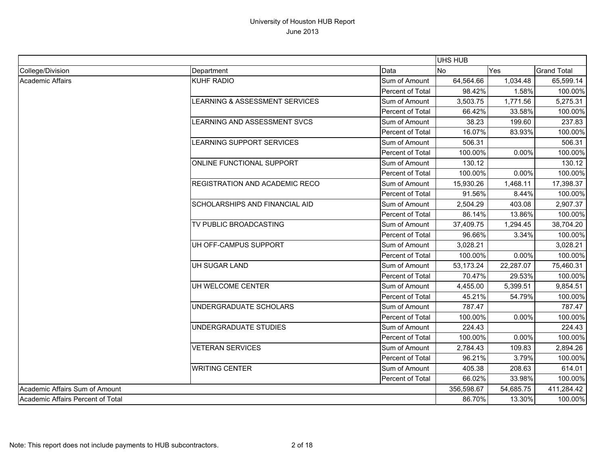|                                   |                                       |                  | <b>UHS HUB</b> |           |                    |
|-----------------------------------|---------------------------------------|------------------|----------------|-----------|--------------------|
| College/Division                  | Department                            | Data             | <b>No</b>      | Yes       | <b>Grand Total</b> |
| Academic Affairs                  | <b>KUHF RADIO</b>                     | Sum of Amount    | 64,564.66      | 1,034.48  | 65,599.14          |
|                                   |                                       | Percent of Total | 98.42%         | 1.58%     | 100.00%            |
|                                   | LEARNING & ASSESSMENT SERVICES        | Sum of Amount    | 3,503.75       | 1,771.56  | 5,275.31           |
|                                   |                                       | Percent of Total | 66.42%         | 33.58%    | 100.00%            |
|                                   | LEARNING AND ASSESSMENT SVCS          | Sum of Amount    | 38.23          | 199.60    | 237.83             |
|                                   |                                       | Percent of Total | 16.07%         | 83.93%    | 100.00%            |
|                                   | LEARNING SUPPORT SERVICES             | Sum of Amount    | 506.31         |           | 506.31             |
|                                   |                                       | Percent of Total | 100.00%        | 0.00%     | 100.00%            |
|                                   | ONLINE FUNCTIONAL SUPPORT             | Sum of Amount    | 130.12         |           | 130.12             |
|                                   |                                       | Percent of Total | 100.00%        | 0.00%     | 100.00%            |
|                                   | <b>REGISTRATION AND ACADEMIC RECO</b> | Sum of Amount    | 15,930.26      | 1,468.11  | 17,398.37          |
|                                   |                                       | Percent of Total | 91.56%         | 8.44%     | 100.00%            |
|                                   | <b>SCHOLARSHIPS AND FINANCIAL AID</b> | Sum of Amount    | 2,504.29       | 403.08    | 2,907.37           |
|                                   |                                       | Percent of Total | 86.14%         | 13.86%    | 100.00%            |
|                                   | TV PUBLIC BROADCASTING                | Sum of Amount    | 37,409.75      | 1,294.45  | 38,704.20          |
|                                   |                                       | Percent of Total | 96.66%         | 3.34%     | 100.00%            |
|                                   | UH OFF-CAMPUS SUPPORT                 | Sum of Amount    | 3,028.21       |           | 3,028.21           |
|                                   |                                       | Percent of Total | 100.00%        | 0.00%     | 100.00%            |
|                                   | UH SUGAR LAND                         | Sum of Amount    | 53,173.24      | 22,287.07 | 75,460.31          |
|                                   |                                       | Percent of Total | 70.47%         | 29.53%    | 100.00%            |
|                                   | UH WELCOME CENTER                     | Sum of Amount    | 4,455.00       | 5,399.51  | 9,854.51           |
|                                   |                                       | Percent of Total | 45.21%         | 54.79%    | 100.00%            |
|                                   | UNDERGRADUATE SCHOLARS                | Sum of Amount    | 787.47         |           | 787.47             |
|                                   |                                       | Percent of Total | 100.00%        | 0.00%     | 100.00%            |
|                                   | UNDERGRADUATE STUDIES                 | Sum of Amount    | 224.43         |           | 224.43             |
|                                   |                                       | Percent of Total | 100.00%        | 0.00%     | 100.00%            |
|                                   | <b>VETERAN SERVICES</b>               | Sum of Amount    | 2,784.43       | 109.83    | 2,894.26           |
|                                   |                                       | Percent of Total | 96.21%         | 3.79%     | 100.00%            |
|                                   | <b>WRITING CENTER</b>                 | Sum of Amount    | 405.38         | 208.63    | 614.01             |
|                                   |                                       | Percent of Total | 66.02%         | 33.98%    | 100.00%            |
| Academic Affairs Sum of Amount    |                                       |                  | 356,598.67     | 54,685.75 | 411,284.42         |
| Academic Affairs Percent of Total |                                       |                  | 86.70%         | 13.30%    | 100.00%            |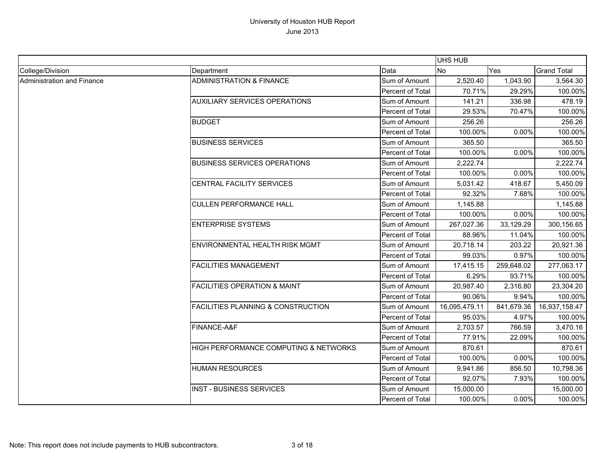|                            |                                               |                  | <b>UHS HUB</b> |            |                    |
|----------------------------|-----------------------------------------------|------------------|----------------|------------|--------------------|
| College/Division           | Department                                    | Data             | No             | Yes        | <b>Grand Total</b> |
| Administration and Finance | <b>ADMINISTRATION &amp; FINANCE</b>           | Sum of Amount    | 2,520.40       | 1,043.90   | 3,564.30           |
|                            |                                               | Percent of Total | 70.71%         | 29.29%     | 100.00%            |
|                            | <b>AUXILIARY SERVICES OPERATIONS</b>          | Sum of Amount    | 141.21         | 336.98     | 478.19             |
|                            |                                               | Percent of Total | 29.53%         | 70.47%     | 100.00%            |
|                            | <b>BUDGET</b>                                 | Sum of Amount    | 256.26         |            | 256.26             |
|                            |                                               | Percent of Total | 100.00%        | 0.00%      | 100.00%            |
|                            | <b>BUSINESS SERVICES</b>                      | Sum of Amount    | 365.50         |            | 365.50             |
|                            |                                               | Percent of Total | 100.00%        | 0.00%      | 100.00%            |
|                            | <b>BUSINESS SERVICES OPERATIONS</b>           | Sum of Amount    | 2,222.74       |            | 2,222.74           |
|                            |                                               | Percent of Total | 100.00%        | 0.00%      | 100.00%            |
|                            | CENTRAL FACILITY SERVICES                     | Sum of Amount    | 5,031.42       | 418.67     | 5,450.09           |
|                            |                                               | Percent of Total | 92.32%         | 7.68%      | 100.00%            |
|                            | <b>CULLEN PERFORMANCE HALL</b>                | Sum of Amount    | 1,145.88       |            | 1,145.88           |
|                            |                                               | Percent of Total | 100.00%        | 0.00%      | 100.00%            |
|                            | <b>ENTERPRISE SYSTEMS</b>                     | Sum of Amount    | 267,027.36     | 33,129.29  | 300,156.65         |
|                            |                                               | Percent of Total | 88.96%         | 11.04%     | 100.00%            |
|                            | ENVIRONMENTAL HEALTH RISK MGMT                | Sum of Amount    | 20,718.14      | 203.22     | 20,921.36          |
|                            |                                               | Percent of Total | 99.03%         | 0.97%      | 100.00%            |
|                            | <b>FACILITIES MANAGEMENT</b>                  | Sum of Amount    | 17,415.15      | 259,648.02 | 277,063.17         |
|                            |                                               | Percent of Total | 6.29%          | 93.71%     | 100.00%            |
|                            | <b>FACILITIES OPERATION &amp; MAINT</b>       | Sum of Amount    | 20,987.40      | 2,316.80   | 23,304.20          |
|                            |                                               | Percent of Total | 90.06%         | 9.94%      | 100.00%            |
|                            | <b>FACILITIES PLANNING &amp; CONSTRUCTION</b> | Sum of Amount    | 16,095,479.11  | 841,679.36 | 16,937,158.47      |
|                            |                                               | Percent of Total | 95.03%         | 4.97%      | 100.00%            |
|                            | FINANCE-A&F                                   | Sum of Amount    | 2,703.57       | 766.59     | 3,470.16           |
|                            |                                               | Percent of Total | 77.91%         | 22.09%     | 100.00%            |
|                            | HIGH PERFORMANCE COMPUTING & NETWORKS         | Sum of Amount    | 870.61         |            | 870.61             |
|                            |                                               | Percent of Total | 100.00%        | 0.00%      | 100.00%            |
|                            | <b>HUMAN RESOURCES</b>                        | Sum of Amount    | 9,941.86       | 856.50     | 10,798.36          |
|                            |                                               | Percent of Total | 92.07%         | 7.93%      | 100.00%            |
|                            | <b>INST - BUSINESS SERVICES</b>               | Sum of Amount    | 15,000.00      |            | 15,000.00          |
|                            |                                               | Percent of Total | 100.00%        | 0.00%      | 100.00%            |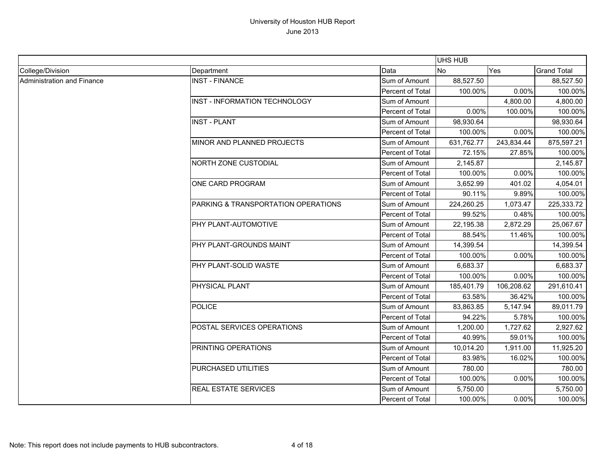|                            |                                     |                         | <b>UHS HUB</b> |            |                    |
|----------------------------|-------------------------------------|-------------------------|----------------|------------|--------------------|
| College/Division           | Department                          | Data                    | <b>No</b>      | Yes        | <b>Grand Total</b> |
| Administration and Finance | <b>INST - FINANCE</b>               | Sum of Amount           | 88,527.50      |            | 88,527.50          |
|                            |                                     | <b>Percent of Total</b> | 100.00%        | 0.00%      | 100.00%            |
|                            | INST - INFORMATION TECHNOLOGY       | Sum of Amount           |                | 4,800.00   | 4,800.00           |
|                            |                                     | Percent of Total        | 0.00%          | 100.00%    | 100.00%            |
|                            | <b>INST - PLANT</b>                 | Sum of Amount           | 98,930.64      |            | 98,930.64          |
|                            |                                     | Percent of Total        | 100.00%        | 0.00%      | 100.00%            |
|                            | MINOR AND PLANNED PROJECTS          | Sum of Amount           | 631,762.77     | 243,834.44 | 875,597.21         |
|                            |                                     | Percent of Total        | 72.15%         | 27.85%     | 100.00%            |
|                            | <b>NORTH ZONE CUSTODIAL</b>         | Sum of Amount           | 2,145.87       |            | 2,145.87           |
|                            |                                     | Percent of Total        | 100.00%        | 0.00%      | 100.00%            |
|                            | <b>ONE CARD PROGRAM</b>             | Sum of Amount           | 3,652.99       | 401.02     | 4,054.01           |
|                            |                                     | Percent of Total        | 90.11%         | 9.89%      | 100.00%            |
|                            | PARKING & TRANSPORTATION OPERATIONS | Sum of Amount           | 224,260.25     | 1,073.47   | 225,333.72         |
|                            |                                     | Percent of Total        | 99.52%         | 0.48%      | 100.00%            |
|                            | PHY PLANT-AUTOMOTIVE                | Sum of Amount           | 22,195.38      | 2,872.29   | 25,067.67          |
|                            |                                     | Percent of Total        | 88.54%         | 11.46%     | 100.00%            |
|                            | PHY PLANT-GROUNDS MAINT             | Sum of Amount           | 14,399.54      |            | 14,399.54          |
|                            |                                     | Percent of Total        | 100.00%        | 0.00%      | 100.00%            |
|                            | PHY PLANT-SOLID WASTE               | Sum of Amount           | 6,683.37       |            | 6,683.37           |
|                            |                                     | Percent of Total        | 100.00%        | 0.00%      | 100.00%            |
|                            | PHYSICAL PLANT                      | Sum of Amount           | 185,401.79     | 106,208.62 | 291,610.41         |
|                            |                                     | Percent of Total        | 63.58%         | 36.42%     | 100.00%            |
|                            | <b>POLICE</b>                       | Sum of Amount           | 83,863.85      | 5,147.94   | 89,011.79          |
|                            |                                     | Percent of Total        | 94.22%         | 5.78%      | 100.00%            |
|                            | POSTAL SERVICES OPERATIONS          | Sum of Amount           | 1,200.00       | 1,727.62   | 2,927.62           |
|                            |                                     | Percent of Total        | 40.99%         | 59.01%     | 100.00%            |
|                            | PRINTING OPERATIONS                 | Sum of Amount           | 10,014.20      | 1,911.00   | 11,925.20          |
|                            |                                     | Percent of Total        | 83.98%         | 16.02%     | 100.00%            |
|                            | PURCHASED UTILITIES                 | Sum of Amount           | 780.00         |            | 780.00             |
|                            |                                     | Percent of Total        | 100.00%        | 0.00%      | 100.00%            |
|                            | REAL ESTATE SERVICES                | Sum of Amount           | 5,750.00       |            | 5,750.00           |
|                            |                                     | Percent of Total        | 100.00%        | 0.00%      | 100.00%            |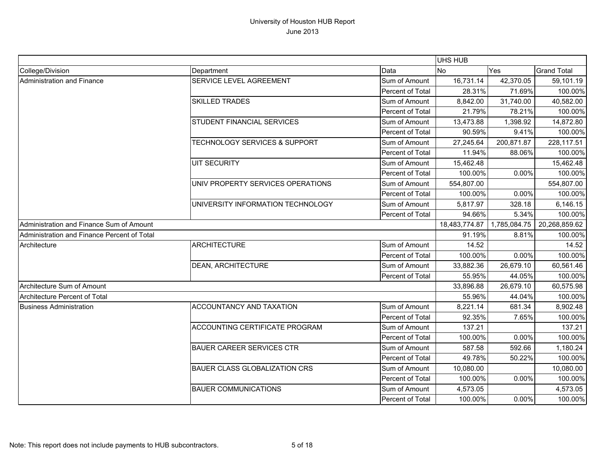|                                             |                                          |                  | UHS HUB       |              |                    |
|---------------------------------------------|------------------------------------------|------------------|---------------|--------------|--------------------|
| College/Division                            | Department                               | Data             | <b>No</b>     | Yes          | <b>Grand Total</b> |
| Administration and Finance                  | SERVICE LEVEL AGREEMENT                  | Sum of Amount    | 16,731.14     | 42,370.05    | 59,101.19          |
|                                             |                                          | Percent of Total | 28.31%        | 71.69%       | 100.00%            |
|                                             | <b>SKILLED TRADES</b>                    | Sum of Amount    | 8,842.00      | 31,740.00    | 40,582.00          |
|                                             |                                          | Percent of Total | 21.79%        | 78.21%       | 100.00%            |
|                                             | <b>STUDENT FINANCIAL SERVICES</b>        | Sum of Amount    | 13,473.88     | 1,398.92     | 14,872.80          |
|                                             |                                          | Percent of Total | 90.59%        | 9.41%        | 100.00%            |
|                                             | <b>TECHNOLOGY SERVICES &amp; SUPPORT</b> | Sum of Amount    | 27,245.64     | 200,871.87   | 228,117.51         |
|                                             |                                          | Percent of Total | 11.94%        | 88.06%       | 100.00%            |
|                                             | <b>UIT SECURITY</b>                      | Sum of Amount    | 15,462.48     |              | 15,462.48          |
|                                             |                                          | Percent of Total | 100.00%       | 0.00%        | 100.00%            |
|                                             | UNIV PROPERTY SERVICES OPERATIONS        | Sum of Amount    | 554,807.00    |              | 554,807.00         |
|                                             |                                          | Percent of Total | 100.00%       | 0.00%        | 100.00%            |
|                                             | UNIVERSITY INFORMATION TECHNOLOGY        | Sum of Amount    | 5,817.97      | 328.18       | 6,146.15           |
|                                             |                                          | Percent of Total | 94.66%        | 5.34%        | 100.00%            |
| Administration and Finance Sum of Amount    |                                          |                  | 18,483,774.87 | 1,785,084.75 | 20,268,859.62      |
| Administration and Finance Percent of Total |                                          |                  | 91.19%        | 8.81%        | 100.00%            |
| Architecture                                | <b>ARCHITECTURE</b>                      | Sum of Amount    | 14.52         |              | 14.52              |
|                                             |                                          | Percent of Total | 100.00%       | 0.00%        | 100.00%            |
|                                             | <b>DEAN, ARCHITECTURE</b>                | Sum of Amount    | 33,882.36     | 26,679.10    | 60,561.46          |
|                                             |                                          | Percent of Total | 55.95%        | 44.05%       | 100.00%            |
| Architecture Sum of Amount                  |                                          |                  | 33,896.88     | 26,679.10    | 60,575.98          |
| Architecture Percent of Total               |                                          |                  | 55.96%        | 44.04%       | 100.00%            |
| <b>Business Administration</b>              | <b>ACCOUNTANCY AND TAXATION</b>          | Sum of Amount    | 8,221.14      | 681.34       | 8,902.48           |
|                                             |                                          | Percent of Total | 92.35%        | 7.65%        | 100.00%            |
|                                             | ACCOUNTING CERTIFICATE PROGRAM           | Sum of Amount    | 137.21        |              | 137.21             |
|                                             |                                          | Percent of Total | 100.00%       | 0.00%        | 100.00%            |
|                                             | <b>BAUER CAREER SERVICES CTR</b>         | Sum of Amount    | 587.58        | 592.66       | 1,180.24           |
|                                             |                                          | Percent of Total | 49.78%        | 50.22%       | 100.00%            |
|                                             | <b>BAUER CLASS GLOBALIZATION CRS</b>     | Sum of Amount    | 10,080.00     |              | 10,080.00          |
|                                             |                                          | Percent of Total | 100.00%       | 0.00%        | 100.00%            |
|                                             | <b>BAUER COMMUNICATIONS</b>              | Sum of Amount    | 4,573.05      |              | 4,573.05           |
|                                             |                                          | Percent of Total | 100.00%       | 0.00%        | 100.00%            |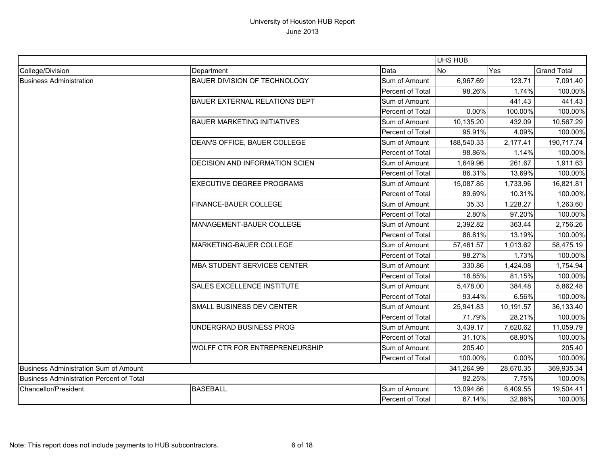|                                                 |                                       |                  | UHS HUB    |           |                    |
|-------------------------------------------------|---------------------------------------|------------------|------------|-----------|--------------------|
| College/Division                                | Department                            | Data             | No         | Yes       | <b>Grand Total</b> |
| <b>Business Administration</b>                  | BAUER DIVISION OF TECHNOLOGY          | Sum of Amount    | 6,967.69   | 123.71    | 7,091.40           |
|                                                 |                                       | Percent of Total | 98.26%     | 1.74%     | 100.00%            |
|                                                 | <b>BAUER EXTERNAL RELATIONS DEPT</b>  | Sum of Amount    |            | 441.43    | 441.43             |
|                                                 |                                       | Percent of Total | 0.00%      | 100.00%   | 100.00%            |
|                                                 | <b>BAUER MARKETING INITIATIVES</b>    | Sum of Amount    | 10,135.20  | 432.09    | 10,567.29          |
|                                                 |                                       | Percent of Total | 95.91%     | 4.09%     | 100.00%            |
|                                                 | DEAN'S OFFICE, BAUER COLLEGE          | Sum of Amount    | 188,540.33 | 2,177.41  | 190,717.74         |
|                                                 |                                       | Percent of Total | 98.86%     | 1.14%     | 100.00%            |
|                                                 | DECISION AND INFORMATION SCIEN        | Sum of Amount    | 1,649.96   | 261.67    | 1,911.63           |
|                                                 |                                       | Percent of Total | 86.31%     | 13.69%    | 100.00%            |
|                                                 | <b>EXECUTIVE DEGREE PROGRAMS</b>      | Sum of Amount    | 15,087.85  | 1,733.96  | 16,821.81          |
|                                                 |                                       | Percent of Total | 89.69%     | 10.31%    | 100.00%            |
|                                                 | FINANCE-BAUER COLLEGE                 | Sum of Amount    | 35.33      | 1,228.27  | 1,263.60           |
|                                                 |                                       | Percent of Total | 2.80%      | 97.20%    | 100.00%            |
|                                                 | MANAGEMENT-BAUER COLLEGE              | Sum of Amount    | 2,392.82   | 363.44    | 2,756.26           |
|                                                 |                                       | Percent of Total | 86.81%     | 13.19%    | 100.00%            |
|                                                 | MARKETING-BAUER COLLEGE               | Sum of Amount    | 57,461.57  | 1,013.62  | 58,475.19          |
|                                                 |                                       | Percent of Total | 98.27%     | 1.73%     | 100.00%            |
|                                                 | <b>MBA STUDENT SERVICES CENTER</b>    | Sum of Amount    | 330.86     | 1,424.08  | 1,754.94           |
|                                                 |                                       | Percent of Total | 18.85%     | 81.15%    | 100.00%            |
|                                                 | SALES EXCELLENCE INSTITUTE            | Sum of Amount    | 5,478.00   | 384.48    | 5,862.48           |
|                                                 |                                       | Percent of Total | 93.44%     | 6.56%     | 100.00%            |
|                                                 | SMALL BUSINESS DEV CENTER             | Sum of Amount    | 25,941.83  | 10,191.57 | 36,133.40          |
|                                                 |                                       | Percent of Total | 71.79%     | 28.21%    | 100.00%            |
|                                                 | UNDERGRAD BUSINESS PROG               | Sum of Amount    | 3,439.17   | 7,620.62  | 11,059.79          |
|                                                 |                                       | Percent of Total | 31.10%     | 68.90%    | 100.00%            |
|                                                 | <b>WOLFF CTR FOR ENTREPRENEURSHIP</b> | Sum of Amount    | 205.40     |           | 205.40             |
|                                                 |                                       | Percent of Total | 100.00%    | 0.00%     | 100.00%            |
| Business Administration Sum of Amount           |                                       |                  | 341,264.99 | 28,670.35 | 369,935.34         |
| <b>Business Administration Percent of Total</b> |                                       |                  | 92.25%     | 7.75%     | 100.00%            |
| Chancellor/President                            | <b>BASEBALL</b>                       | Sum of Amount    | 13,094.86  | 6,409.55  | 19,504.41          |
|                                                 |                                       | Percent of Total | 67.14%     | 32.86%    | 100.00%            |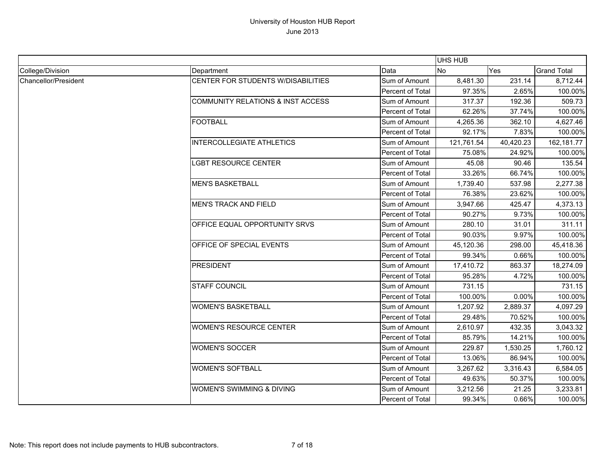|                      |                                              |                  | UHS HUB    |           |                    |
|----------------------|----------------------------------------------|------------------|------------|-----------|--------------------|
| College/Division     | Department                                   | Data             | <b>No</b>  | Yes       | <b>Grand Total</b> |
| Chancellor/President | CENTER FOR STUDENTS W/DISABILITIES           | Sum of Amount    | 8,481.30   | 231.14    | 8,712.44           |
|                      |                                              | Percent of Total | 97.35%     | 2.65%     | 100.00%            |
|                      | <b>COMMUNITY RELATIONS &amp; INST ACCESS</b> | Sum of Amount    | 317.37     | 192.36    | 509.73             |
|                      |                                              | Percent of Total | 62.26%     | 37.74%    | 100.00%            |
|                      | <b>FOOTBALL</b>                              | Sum of Amount    | 4,265.36   | 362.10    | 4,627.46           |
|                      |                                              | Percent of Total | 92.17%     | 7.83%     | 100.00%            |
|                      | <b>INTERCOLLEGIATE ATHLETICS</b>             | Sum of Amount    | 121,761.54 | 40,420.23 | 162,181.77         |
|                      |                                              | Percent of Total | 75.08%     | 24.92%    | 100.00%            |
|                      | <b>LGBT RESOURCE CENTER</b>                  | Sum of Amount    | 45.08      | 90.46     | 135.54             |
|                      |                                              | Percent of Total | 33.26%     | 66.74%    | 100.00%            |
|                      | <b>MEN'S BASKETBALL</b>                      | Sum of Amount    | 1,739.40   | 537.98    | 2,277.38           |
|                      |                                              | Percent of Total | 76.38%     | 23.62%    | 100.00%            |
|                      | <b>MEN'S TRACK AND FIELD</b>                 | Sum of Amount    | 3,947.66   | 425.47    | 4,373.13           |
|                      |                                              | Percent of Total | 90.27%     | 9.73%     | 100.00%            |
|                      | OFFICE EQUAL OPPORTUNITY SRVS                | Sum of Amount    | 280.10     | 31.01     | 311.11             |
|                      |                                              | Percent of Total | 90.03%     | 9.97%     | 100.00%            |
|                      | OFFICE OF SPECIAL EVENTS                     | Sum of Amount    | 45,120.36  | 298.00    | 45,418.36          |
|                      |                                              | Percent of Total | 99.34%     | 0.66%     | 100.00%            |
|                      | <b>PRESIDENT</b>                             | Sum of Amount    | 17,410.72  | 863.37    | 18,274.09          |
|                      |                                              | Percent of Total | 95.28%     | 4.72%     | 100.00%            |
|                      | <b>STAFF COUNCIL</b>                         | Sum of Amount    | 731.15     |           | 731.15             |
|                      |                                              | Percent of Total | 100.00%    | 0.00%     | 100.00%            |
|                      | <b>WOMEN'S BASKETBALL</b>                    | Sum of Amount    | 1,207.92   | 2,889.37  | 4,097.29           |
|                      |                                              | Percent of Total | 29.48%     | 70.52%    | 100.00%            |
|                      | <b>WOMEN'S RESOURCE CENTER</b>               | Sum of Amount    | 2,610.97   | 432.35    | 3,043.32           |
|                      |                                              | Percent of Total | 85.79%     | 14.21%    | 100.00%            |
|                      | <b>WOMEN'S SOCCER</b>                        | Sum of Amount    | 229.87     | 1,530.25  | 1,760.12           |
|                      |                                              | Percent of Total | 13.06%     | 86.94%    | 100.00%            |
|                      | <b>WOMEN'S SOFTBALL</b>                      | Sum of Amount    | 3,267.62   | 3,316.43  | 6,584.05           |
|                      |                                              | Percent of Total | 49.63%     | 50.37%    | 100.00%            |
|                      | <b>WOMEN'S SWIMMING &amp; DIVING</b>         | Sum of Amount    | 3,212.56   | 21.25     | 3,233.81           |
|                      |                                              | Percent of Total | 99.34%     | 0.66%     | 100.00%            |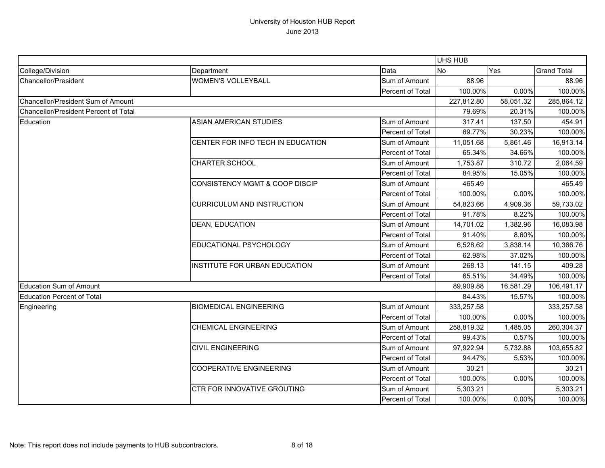|                                              |                                   |                  | UHS HUB    |           |                    |
|----------------------------------------------|-----------------------------------|------------------|------------|-----------|--------------------|
| College/Division                             | Department                        | Data             | <b>No</b>  | Yes       | <b>Grand Total</b> |
| Chancellor/President                         | <b>WOMEN'S VOLLEYBALL</b>         | Sum of Amount    | 88.96      |           | 88.96              |
|                                              |                                   | Percent of Total | 100.00%    | 0.00%     | 100.00%            |
| Chancellor/President Sum of Amount           |                                   |                  | 227,812.80 | 58,051.32 | 285,864.12         |
| <b>Chancellor/President Percent of Total</b> |                                   |                  | 79.69%     | 20.31%    | 100.00%            |
| Education                                    | <b>ASIAN AMERICAN STUDIES</b>     | Sum of Amount    | 317.41     | 137.50    | 454.91             |
|                                              |                                   | Percent of Total | 69.77%     | 30.23%    | 100.00%            |
|                                              | CENTER FOR INFO TECH IN EDUCATION | Sum of Amount    | 11,051.68  | 5,861.46  | 16,913.14          |
|                                              |                                   | Percent of Total | 65.34%     | 34.66%    | 100.00%            |
|                                              | CHARTER SCHOOL                    | Sum of Amount    | 1,753.87   | 310.72    | 2,064.59           |
|                                              |                                   | Percent of Total | 84.95%     | 15.05%    | 100.00%            |
|                                              | CONSISTENCY MGMT & COOP DISCIP    | Sum of Amount    | 465.49     |           | 465.49             |
|                                              |                                   | Percent of Total | 100.00%    | 0.00%     | 100.00%            |
|                                              | <b>CURRICULUM AND INSTRUCTION</b> | Sum of Amount    | 54,823.66  | 4,909.36  | 59,733.02          |
|                                              |                                   | Percent of Total | 91.78%     | 8.22%     | 100.00%            |
|                                              | <b>DEAN, EDUCATION</b>            | Sum of Amount    | 14,701.02  | 1,382.96  | 16,083.98          |
|                                              |                                   | Percent of Total | 91.40%     | 8.60%     | 100.00%            |
|                                              | EDUCATIONAL PSYCHOLOGY            | Sum of Amount    | 6,528.62   | 3,838.14  | 10,366.76          |
|                                              |                                   | Percent of Total | 62.98%     | 37.02%    | 100.00%            |
|                                              | INSTITUTE FOR URBAN EDUCATION     | Sum of Amount    | 268.13     | 141.15    | 409.28             |
|                                              |                                   | Percent of Total | 65.51%     | 34.49%    | 100.00%            |
| <b>Education Sum of Amount</b>               |                                   |                  | 89,909.88  | 16,581.29 | 106,491.17         |
| Education Percent of Total                   |                                   |                  | 84.43%     | 15.57%    | 100.00%            |
| Engineering                                  | <b>BIOMEDICAL ENGINEERING</b>     | Sum of Amount    | 333,257.58 |           | 333,257.58         |
|                                              |                                   | Percent of Total | 100.00%    | 0.00%     | 100.00%            |
|                                              | <b>CHEMICAL ENGINEERING</b>       | Sum of Amount    | 258,819.32 | 1,485.05  | 260,304.37         |
|                                              |                                   | Percent of Total | 99.43%     | 0.57%     | 100.00%            |
|                                              | <b>CIVIL ENGINEERING</b>          | Sum of Amount    | 97,922.94  | 5,732.88  | 103,655.82         |
|                                              |                                   | Percent of Total | 94.47%     | 5.53%     | 100.00%            |
|                                              | <b>COOPERATIVE ENGINEERING</b>    | Sum of Amount    | 30.21      |           | 30.21              |
|                                              |                                   | Percent of Total | 100.00%    | 0.00%     | 100.00%            |
|                                              | CTR FOR INNOVATIVE GROUTING       | Sum of Amount    | 5,303.21   |           | 5,303.21           |
|                                              |                                   | Percent of Total | 100.00%    | 0.00%     | 100.00%            |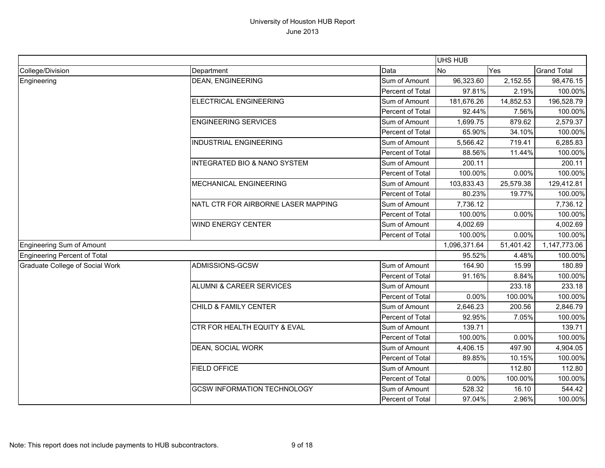|                                        |                                         |                  | UHS HUB      |           |                    |
|----------------------------------------|-----------------------------------------|------------------|--------------|-----------|--------------------|
| College/Division                       | Department                              | Data             | <b>No</b>    | Yes       | <b>Grand Total</b> |
| Engineering                            | <b>DEAN, ENGINEERING</b>                | Sum of Amount    | 96,323.60    | 2,152.55  | 98,476.15          |
|                                        |                                         | Percent of Total | 97.81%       | 2.19%     | 100.00%            |
|                                        | <b>ELECTRICAL ENGINEERING</b>           | Sum of Amount    | 181,676.26   | 14,852.53 | 196,528.79         |
|                                        |                                         | Percent of Total | 92.44%       | 7.56%     | 100.00%            |
|                                        | <b>ENGINEERING SERVICES</b>             | Sum of Amount    | 1,699.75     | 879.62    | 2,579.37           |
|                                        |                                         | Percent of Total | 65.90%       | 34.10%    | 100.00%            |
|                                        | <b>INDUSTRIAL ENGINEERING</b>           | Sum of Amount    | 5,566.42     | 719.41    | 6,285.83           |
|                                        |                                         | Percent of Total | 88.56%       | 11.44%    | 100.00%            |
|                                        | <b>INTEGRATED BIO &amp; NANO SYSTEM</b> | Sum of Amount    | 200.11       |           | 200.11             |
|                                        |                                         | Percent of Total | 100.00%      | 0.00%     | 100.00%            |
|                                        | <b>MECHANICAL ENGINEERING</b>           | Sum of Amount    | 103,833.43   | 25,579.38 | 129,412.81         |
|                                        |                                         | Percent of Total | 80.23%       | 19.77%    | 100.00%            |
|                                        | NATL CTR FOR AIRBORNE LASER MAPPING     | Sum of Amount    | 7,736.12     |           | 7,736.12           |
|                                        |                                         | Percent of Total | 100.00%      | 0.00%     | 100.00%            |
|                                        | <b>WIND ENERGY CENTER</b>               | Sum of Amount    | 4,002.69     |           | 4,002.69           |
|                                        |                                         | Percent of Total | 100.00%      | 0.00%     | 100.00%            |
| <b>Engineering Sum of Amount</b>       |                                         |                  | 1,096,371.64 | 51,401.42 | 1,147,773.06       |
| <b>Engineering Percent of Total</b>    |                                         |                  | 95.52%       | 4.48%     | 100.00%            |
| <b>Graduate College of Social Work</b> | ADMISSIONS-GCSW                         | Sum of Amount    | 164.90       | 15.99     | 180.89             |
|                                        |                                         | Percent of Total | 91.16%       | 8.84%     | 100.00%            |
|                                        | <b>ALUMNI &amp; CAREER SERVICES</b>     | Sum of Amount    |              | 233.18    | 233.18             |
|                                        |                                         | Percent of Total | 0.00%        | 100.00%   | 100.00%            |
|                                        | CHILD & FAMILY CENTER                   | Sum of Amount    | 2,646.23     | 200.56    | 2,846.79           |
|                                        |                                         | Percent of Total | 92.95%       | 7.05%     | 100.00%            |
|                                        | <b>CTR FOR HEALTH EQUITY &amp; EVAL</b> | Sum of Amount    | 139.71       |           | 139.71             |
|                                        |                                         | Percent of Total | 100.00%      | 0.00%     | 100.00%            |
|                                        | DEAN, SOCIAL WORK                       | Sum of Amount    | 4,406.15     | 497.90    | 4,904.05           |
|                                        |                                         | Percent of Total | 89.85%       | 10.15%    | 100.00%            |
|                                        | <b>FIELD OFFICE</b>                     | Sum of Amount    |              | 112.80    | 112.80             |
|                                        |                                         | Percent of Total | 0.00%        | 100.00%   | 100.00%            |
|                                        | <b>GCSW INFORMATION TECHNOLOGY</b>      | Sum of Amount    | 528.32       | 16.10     | 544.42             |
|                                        |                                         | Percent of Total | 97.04%       | 2.96%     | 100.00%            |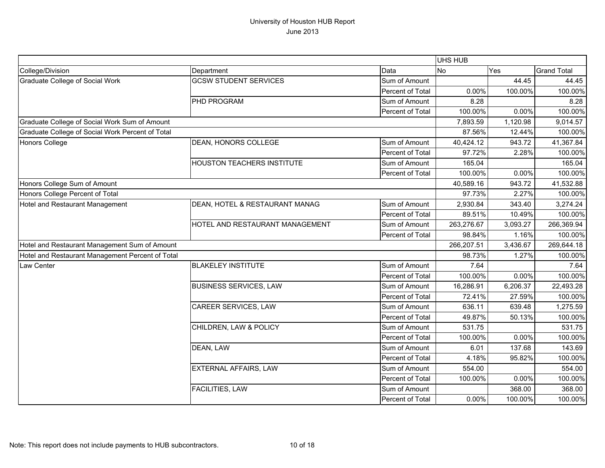|                                                  |                                 |                  | UHS HUB    |          |                    |
|--------------------------------------------------|---------------------------------|------------------|------------|----------|--------------------|
| College/Division                                 | Department                      | Data             | No         | Yes      | <b>Grand Total</b> |
| <b>Graduate College of Social Work</b>           | <b>GCSW STUDENT SERVICES</b>    | Sum of Amount    |            | 44.45    | 44.45              |
|                                                  |                                 | Percent of Total | 0.00%      | 100.00%  | 100.00%            |
|                                                  | PHD PROGRAM                     | Sum of Amount    | 8.28       |          | 8.28               |
|                                                  |                                 | Percent of Total | 100.00%    | 0.00%    | 100.00%            |
| Graduate College of Social Work Sum of Amount    |                                 |                  | 7,893.59   | 1,120.98 | 9,014.57           |
| Graduate College of Social Work Percent of Total |                                 |                  | 87.56%     | 12.44%   | 100.00%            |
| Honors College                                   | DEAN, HONORS COLLEGE            | Sum of Amount    | 40,424.12  | 943.72   | 41,367.84          |
|                                                  |                                 | Percent of Total | 97.72%     | 2.28%    | 100.00%            |
|                                                  | HOUSTON TEACHERS INSTITUTE      | Sum of Amount    | 165.04     |          | 165.04             |
|                                                  |                                 | Percent of Total | 100.00%    | 0.00%    | 100.00%            |
| Honors College Sum of Amount                     |                                 |                  | 40,589.16  | 943.72   | 41,532.88          |
| Honors College Percent of Total                  |                                 |                  | 97.73%     | 2.27%    | 100.00%            |
| Hotel and Restaurant Management                  | DEAN, HOTEL & RESTAURANT MANAG  | Sum of Amount    | 2,930.84   | 343.40   | 3,274.24           |
|                                                  |                                 | Percent of Total | 89.51%     | 10.49%   | 100.00%            |
|                                                  | HOTEL AND RESTAURANT MANAGEMENT | Sum of Amount    | 263,276.67 | 3,093.27 | 266,369.94         |
|                                                  |                                 | Percent of Total | 98.84%     | 1.16%    | 100.00%            |
| Hotel and Restaurant Management Sum of Amount    |                                 |                  | 266,207.51 | 3,436.67 | 269,644.18         |
| Hotel and Restaurant Management Percent of Total |                                 |                  | 98.73%     | 1.27%    | 100.00%            |
| Law Center                                       | <b>BLAKELEY INSTITUTE</b>       | Sum of Amount    | 7.64       |          | 7.64               |
|                                                  |                                 | Percent of Total | 100.00%    | 0.00%    | 100.00%            |
|                                                  | <b>BUSINESS SERVICES, LAW</b>   | Sum of Amount    | 16,286.91  | 6,206.37 | 22,493.28          |
|                                                  |                                 | Percent of Total | 72.41%     | 27.59%   | 100.00%            |
|                                                  | <b>CAREER SERVICES, LAW</b>     | Sum of Amount    | 636.11     | 639.48   | 1,275.59           |
|                                                  |                                 | Percent of Total | 49.87%     | 50.13%   | 100.00%            |
|                                                  | CHILDREN, LAW & POLICY          | Sum of Amount    | 531.75     |          | 531.75             |
|                                                  |                                 | Percent of Total | 100.00%    | 0.00%    | 100.00%            |
|                                                  | DEAN, LAW                       | Sum of Amount    | 6.01       | 137.68   | 143.69             |
|                                                  |                                 | Percent of Total | 4.18%      | 95.82%   | 100.00%            |
|                                                  | <b>EXTERNAL AFFAIRS, LAW</b>    | Sum of Amount    | 554.00     |          | 554.00             |
|                                                  |                                 | Percent of Total | 100.00%    | 0.00%    | 100.00%            |
|                                                  | FACILITIES, LAW                 | Sum of Amount    |            | 368.00   | 368.00             |
|                                                  |                                 | Percent of Total | 0.00%      | 100.00%  | 100.00%            |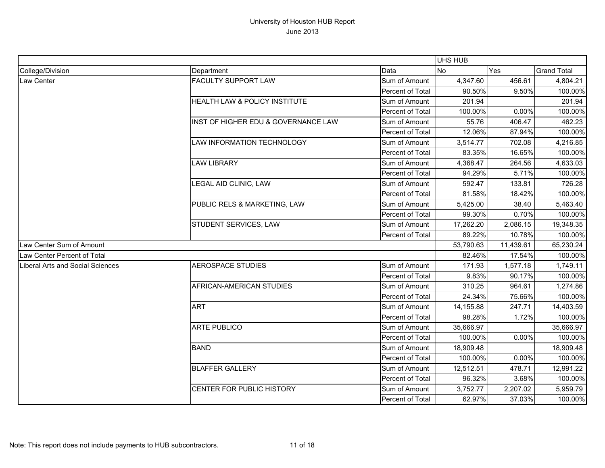|                                  |                                          |                  | UHS HUB   |           |                    |
|----------------------------------|------------------------------------------|------------------|-----------|-----------|--------------------|
| College/Division                 | Department                               | Data             | <b>No</b> | Yes       | <b>Grand Total</b> |
| Law Center                       | <b>FACULTY SUPPORT LAW</b>               | Sum of Amount    | 4,347.60  | 456.61    | 4,804.21           |
|                                  |                                          | Percent of Total | 90.50%    | 9.50%     | 100.00%            |
|                                  | <b>HEALTH LAW &amp; POLICY INSTITUTE</b> | Sum of Amount    | 201.94    |           | 201.94             |
|                                  |                                          | Percent of Total | 100.00%   | 0.00%     | 100.00%            |
|                                  | INST OF HIGHER EDU & GOVERNANCE LAW      | Sum of Amount    | 55.76     | 406.47    | 462.23             |
|                                  |                                          | Percent of Total | 12.06%    | 87.94%    | 100.00%            |
|                                  | LAW INFORMATION TECHNOLOGY               | Sum of Amount    | 3,514.77  | 702.08    | 4,216.85           |
|                                  |                                          | Percent of Total | 83.35%    | 16.65%    | 100.00%            |
|                                  | <b>LAW LIBRARY</b>                       | Sum of Amount    | 4,368.47  | 264.56    | 4,633.03           |
|                                  |                                          | Percent of Total | 94.29%    | 5.71%     | 100.00%            |
|                                  | LEGAL AID CLINIC, LAW                    | Sum of Amount    | 592.47    | 133.81    | 726.28             |
|                                  |                                          | Percent of Total | 81.58%    | 18.42%    | 100.00%            |
|                                  | PUBLIC RELS & MARKETING, LAW             | Sum of Amount    | 5,425.00  | 38.40     | 5,463.40           |
|                                  |                                          | Percent of Total | 99.30%    | 0.70%     | 100.00%            |
|                                  | STUDENT SERVICES, LAW                    | Sum of Amount    | 17,262.20 | 2,086.15  | 19,348.35          |
|                                  |                                          | Percent of Total | 89.22%    | 10.78%    | 100.00%            |
| Law Center Sum of Amount         |                                          |                  | 53,790.63 | 11,439.61 | 65,230.24          |
| Law Center Percent of Total      |                                          |                  | 82.46%    | 17.54%    | 100.00%            |
| Liberal Arts and Social Sciences | <b>AEROSPACE STUDIES</b>                 | Sum of Amount    | 171.93    | 1,577.18  | 1,749.11           |
|                                  |                                          | Percent of Total | 9.83%     | 90.17%    | 100.00%            |
|                                  | AFRICAN-AMERICAN STUDIES                 | Sum of Amount    | 310.25    | 964.61    | 1,274.86           |
|                                  |                                          | Percent of Total | 24.34%    | 75.66%    | 100.00%            |
|                                  | <b>ART</b>                               | Sum of Amount    | 14,155.88 | 247.71    | 14,403.59          |
|                                  |                                          | Percent of Total | 98.28%    | 1.72%     | 100.00%            |
|                                  | <b>ARTE PUBLICO</b>                      | Sum of Amount    | 35,666.97 |           | 35,666.97          |
|                                  |                                          | Percent of Total | 100.00%   | 0.00%     | 100.00%            |
|                                  | <b>BAND</b>                              | Sum of Amount    | 18,909.48 |           | 18,909.48          |
|                                  |                                          | Percent of Total | 100.00%   | 0.00%     | 100.00%            |
|                                  | <b>BLAFFER GALLERY</b>                   | Sum of Amount    | 12,512.51 | 478.71    | 12,991.22          |
|                                  |                                          | Percent of Total | 96.32%    | 3.68%     | 100.00%            |
|                                  | CENTER FOR PUBLIC HISTORY                | Sum of Amount    | 3,752.77  | 2,207.02  | 5,959.79           |
|                                  |                                          | Percent of Total | 62.97%    | 37.03%    | 100.00%            |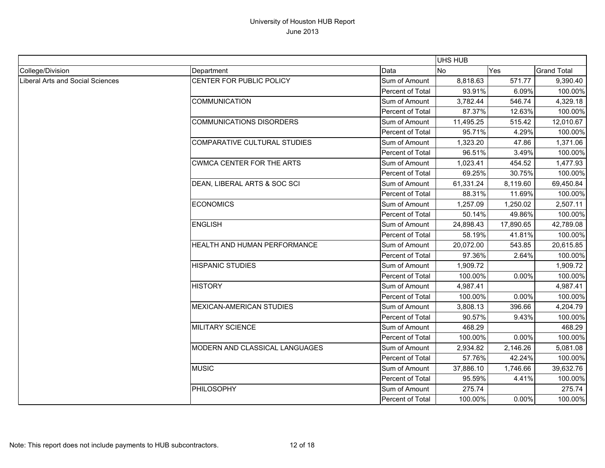|                                  |                                  |                  | <b>UHS HUB</b> |           |                    |
|----------------------------------|----------------------------------|------------------|----------------|-----------|--------------------|
| College/Division                 | Department                       | Data             | <b>No</b>      | Yes       | <b>Grand Total</b> |
| Liberal Arts and Social Sciences | CENTER FOR PUBLIC POLICY         | Sum of Amount    | 8,818.63       | 571.77    | 9,390.40           |
|                                  |                                  | Percent of Total | 93.91%         | 6.09%     | 100.00%            |
|                                  | <b>COMMUNICATION</b>             | Sum of Amount    | 3,782.44       | 546.74    | 4,329.18           |
|                                  |                                  | Percent of Total | 87.37%         | 12.63%    | 100.00%            |
|                                  | <b>COMMUNICATIONS DISORDERS</b>  | Sum of Amount    | 11,495.25      | 515.42    | 12,010.67          |
|                                  |                                  | Percent of Total | 95.71%         | 4.29%     | 100.00%            |
|                                  | COMPARATIVE CULTURAL STUDIES     | Sum of Amount    | 1,323.20       | 47.86     | 1,371.06           |
|                                  |                                  | Percent of Total | 96.51%         | 3.49%     | 100.00%            |
|                                  | <b>CWMCA CENTER FOR THE ARTS</b> | Sum of Amount    | 1,023.41       | 454.52    | 1,477.93           |
|                                  |                                  | Percent of Total | 69.25%         | 30.75%    | 100.00%            |
|                                  | DEAN, LIBERAL ARTS & SOC SCI     | Sum of Amount    | 61,331.24      | 8,119.60  | 69,450.84          |
|                                  |                                  | Percent of Total | 88.31%         | 11.69%    | 100.00%            |
|                                  | <b>ECONOMICS</b>                 | Sum of Amount    | 1,257.09       | 1,250.02  | 2,507.11           |
|                                  |                                  | Percent of Total | 50.14%         | 49.86%    | 100.00%            |
|                                  | <b>ENGLISH</b>                   | Sum of Amount    | 24,898.43      | 17,890.65 | 42,789.08          |
|                                  |                                  | Percent of Total | 58.19%         | 41.81%    | 100.00%            |
|                                  | HEALTH AND HUMAN PERFORMANCE     | Sum of Amount    | 20,072.00      | 543.85    | 20,615.85          |
|                                  |                                  | Percent of Total | 97.36%         | 2.64%     | 100.00%            |
|                                  | <b>HISPANIC STUDIES</b>          | Sum of Amount    | 1,909.72       |           | 1,909.72           |
|                                  |                                  | Percent of Total | 100.00%        | 0.00%     | 100.00%            |
|                                  | <b>HISTORY</b>                   | Sum of Amount    | 4,987.41       |           | 4,987.41           |
|                                  |                                  | Percent of Total | 100.00%        | 0.00%     | 100.00%            |
|                                  | <b>MEXICAN-AMERICAN STUDIES</b>  | Sum of Amount    | 3,808.13       | 396.66    | 4,204.79           |
|                                  |                                  | Percent of Total | 90.57%         | 9.43%     | 100.00%            |
|                                  | <b>MILITARY SCIENCE</b>          | Sum of Amount    | 468.29         |           | 468.29             |
|                                  |                                  | Percent of Total | 100.00%        | 0.00%     | 100.00%            |
|                                  | MODERN AND CLASSICAL LANGUAGES   | Sum of Amount    | 2,934.82       | 2,146.26  | 5,081.08           |
|                                  |                                  | Percent of Total | 57.76%         | 42.24%    | 100.00%            |
|                                  | <b>MUSIC</b>                     | Sum of Amount    | 37,886.10      | 1,746.66  | 39,632.76          |
|                                  |                                  | Percent of Total | 95.59%         | 4.41%     | 100.00%            |
|                                  | PHILOSOPHY                       | Sum of Amount    | 275.74         |           | 275.74             |
|                                  |                                  | Percent of Total | 100.00%        | 0.00%     | 100.00%            |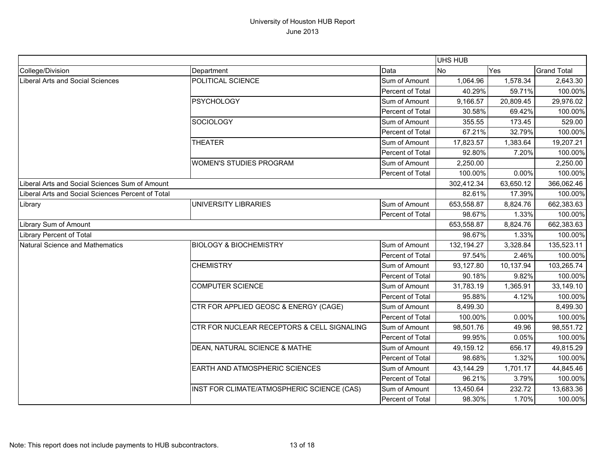|                                                   |                                            |                         | UHS HUB      |           |                    |
|---------------------------------------------------|--------------------------------------------|-------------------------|--------------|-----------|--------------------|
| College/Division                                  | Department                                 | Data                    | <b>No</b>    | Yes       | <b>Grand Total</b> |
| Liberal Arts and Social Sciences                  | POLITICAL SCIENCE                          | Sum of Amount           | 1,064.96     | 1,578.34  | 2,643.30           |
|                                                   |                                            | Percent of Total        | 40.29%       | 59.71%    | 100.00%            |
|                                                   | <b>PSYCHOLOGY</b>                          | Sum of Amount           | 9,166.57     | 20,809.45 | 29,976.02          |
|                                                   |                                            | <b>Percent of Total</b> | 30.58%       | 69.42%    | 100.00%            |
|                                                   | <b>SOCIOLOGY</b>                           | Sum of Amount           | 355.55       | 173.45    | 529.00             |
|                                                   |                                            | Percent of Total        | 67.21%       | 32.79%    | 100.00%            |
|                                                   | <b>THEATER</b>                             | Sum of Amount           | 17,823.57    | 1,383.64  | 19,207.21          |
|                                                   |                                            | Percent of Total        | 92.80%       | 7.20%     | 100.00%            |
|                                                   | <b>WOMEN'S STUDIES PROGRAM</b>             | Sum of Amount           | 2,250.00     |           | 2,250.00           |
|                                                   |                                            | Percent of Total        | 100.00%      | 0.00%     | 100.00%            |
| Liberal Arts and Social Sciences Sum of Amount    |                                            |                         | 302,412.34   | 63,650.12 | 366,062.46         |
| Liberal Arts and Social Sciences Percent of Total |                                            |                         | 82.61%       | 17.39%    | 100.00%            |
| Library                                           | UNIVERSITY LIBRARIES                       | Sum of Amount           | 653,558.87   | 8,824.76  | 662,383.63         |
|                                                   |                                            | Percent of Total        | 98.67%       | 1.33%     | 100.00%            |
| Library Sum of Amount                             |                                            |                         | 653,558.87   | 8,824.76  | 662,383.63         |
| <b>Library Percent of Total</b>                   |                                            |                         | 98.67%       | 1.33%     | 100.00%            |
| Natural Science and Mathematics                   | <b>BIOLOGY &amp; BIOCHEMISTRY</b>          | Sum of Amount           | 132, 194. 27 | 3,328.84  | 135,523.11         |
|                                                   |                                            | Percent of Total        | 97.54%       | 2.46%     | 100.00%            |
|                                                   | <b>CHEMISTRY</b>                           | Sum of Amount           | 93,127.80    | 10,137.94 | 103,265.74         |
|                                                   |                                            | Percent of Total        | 90.18%       | 9.82%     | 100.00%            |
|                                                   | <b>COMPUTER SCIENCE</b>                    | Sum of Amount           | 31,783.19    | 1,365.91  | 33,149.10          |
|                                                   |                                            | Percent of Total        | 95.88%       | 4.12%     | 100.00%            |
|                                                   | CTR FOR APPLIED GEOSC & ENERGY (CAGE)      | Sum of Amount           | 8,499.30     |           | 8,499.30           |
|                                                   |                                            | Percent of Total        | 100.00%      | 0.00%     | 100.00%            |
|                                                   | CTR FOR NUCLEAR RECEPTORS & CELL SIGNALING | Sum of Amount           | 98,501.76    | 49.96     | 98,551.72          |
|                                                   |                                            | Percent of Total        | 99.95%       | 0.05%     | 100.00%            |
|                                                   | DEAN, NATURAL SCIENCE & MATHE              | Sum of Amount           | 49,159.12    | 656.17    | 49,815.29          |
|                                                   |                                            | Percent of Total        | 98.68%       | 1.32%     | 100.00%            |
|                                                   | EARTH AND ATMOSPHERIC SCIENCES             | Sum of Amount           | 43,144.29    | 1,701.17  | 44,845.46          |
|                                                   |                                            | Percent of Total        | 96.21%       | 3.79%     | 100.00%            |
|                                                   | INST FOR CLIMATE/ATMOSPHERIC SCIENCE (CAS) | Sum of Amount           | 13,450.64    | 232.72    | 13,683.36          |
|                                                   |                                            | Percent of Total        | 98.30%       | 1.70%     | 100.00%            |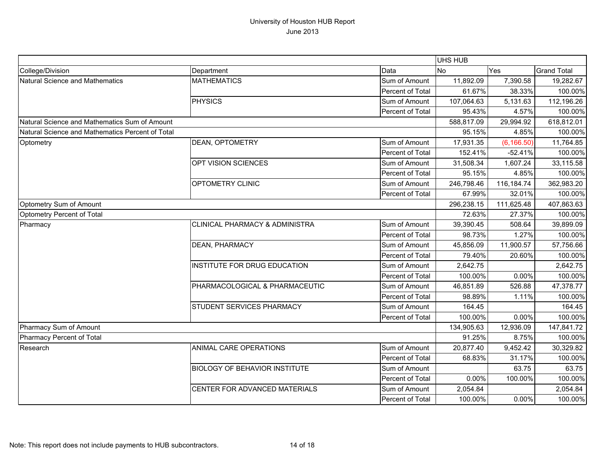|                                                  |                                           |                  | UHS HUB    |             |                    |
|--------------------------------------------------|-------------------------------------------|------------------|------------|-------------|--------------------|
| College/Division                                 | Department                                | Data             | <b>No</b>  | Yes         | <b>Grand Total</b> |
| Natural Science and Mathematics                  | <b>MATHEMATICS</b>                        | Sum of Amount    | 11,892.09  | 7,390.58    | 19,282.67          |
|                                                  |                                           | Percent of Total | 61.67%     | 38.33%      | 100.00%            |
|                                                  | <b>PHYSICS</b>                            | Sum of Amount    | 107,064.63 | 5,131.63    | 112,196.26         |
|                                                  |                                           | Percent of Total | 95.43%     | 4.57%       | 100.00%            |
| Natural Science and Mathematics Sum of Amount    |                                           | 588,817.09       | 29,994.92  | 618,812.01  |                    |
| Natural Science and Mathematics Percent of Total |                                           |                  | 95.15%     | 4.85%       | 100.00%            |
| Optometry                                        | <b>DEAN, OPTOMETRY</b>                    | Sum of Amount    | 17,931.35  | (6, 166.50) | 11,764.85          |
|                                                  |                                           | Percent of Total | 152.41%    | $-52.41%$   | 100.00%            |
|                                                  | OPT VISION SCIENCES                       | Sum of Amount    | 31,508.34  | 1,607.24    | 33,115.58          |
|                                                  |                                           | Percent of Total | 95.15%     | 4.85%       | 100.00%            |
|                                                  | <b>OPTOMETRY CLINIC</b>                   | Sum of Amount    | 246,798.46 | 116,184.74  | 362,983.20         |
|                                                  |                                           | Percent of Total | 67.99%     | 32.01%      | 100.00%            |
| Optometry Sum of Amount                          |                                           |                  | 296,238.15 | 111,625.48  | 407,863.63         |
| Optometry Percent of Total                       |                                           |                  | 72.63%     | 27.37%      | 100.00%            |
| Pharmacy                                         | <b>CLINICAL PHARMACY &amp; ADMINISTRA</b> | Sum of Amount    | 39,390.45  | 508.64      | 39,899.09          |
|                                                  |                                           | Percent of Total | 98.73%     | 1.27%       | 100.00%            |
|                                                  | <b>DEAN, PHARMACY</b>                     | Sum of Amount    | 45,856.09  | 11,900.57   | 57,756.66          |
|                                                  |                                           | Percent of Total | 79.40%     | 20.60%      | 100.00%            |
|                                                  | INSTITUTE FOR DRUG EDUCATION              | Sum of Amount    | 2,642.75   |             | 2,642.75           |
|                                                  |                                           | Percent of Total | 100.00%    | 0.00%       | 100.00%            |
|                                                  | PHARMACOLOGICAL & PHARMACEUTIC            | Sum of Amount    | 46,851.89  | 526.88      | 47,378.77          |
|                                                  |                                           | Percent of Total | 98.89%     | 1.11%       | 100.00%            |
|                                                  | <b>STUDENT SERVICES PHARMACY</b>          | Sum of Amount    | 164.45     |             | 164.45             |
|                                                  |                                           | Percent of Total | 100.00%    | 0.00%       | 100.00%            |
| Pharmacy Sum of Amount                           |                                           |                  | 134,905.63 | 12,936.09   | 147,841.72         |
| Pharmacy Percent of Total                        |                                           |                  | 91.25%     | 8.75%       | 100.00%            |
| Research                                         | <b>ANIMAL CARE OPERATIONS</b>             | Sum of Amount    | 20,877.40  | 9,452.42    | 30,329.82          |
|                                                  |                                           | Percent of Total | 68.83%     | 31.17%      | 100.00%            |
|                                                  | <b>BIOLOGY OF BEHAVIOR INSTITUTE</b>      | Sum of Amount    |            | 63.75       | 63.75              |
|                                                  |                                           | Percent of Total | 0.00%      | 100.00%     | 100.00%            |
|                                                  | CENTER FOR ADVANCED MATERIALS             | Sum of Amount    | 2,054.84   |             | 2,054.84           |
|                                                  |                                           | Percent of Total | 100.00%    | 0.00%       | 100.00%            |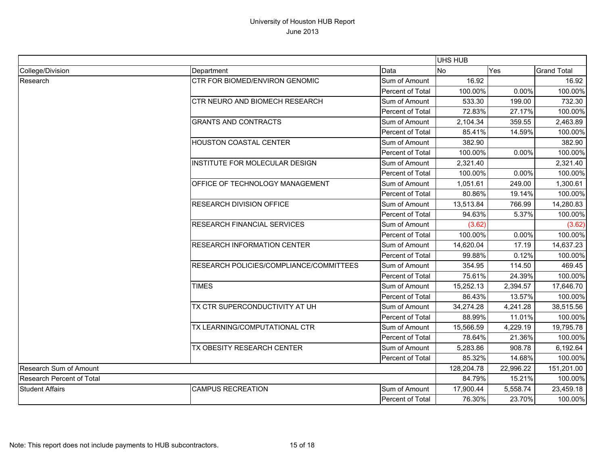|                                  |                                         | <b>UHS HUB</b>   |            |           |                    |
|----------------------------------|-----------------------------------------|------------------|------------|-----------|--------------------|
| College/Division                 | Department                              | Data             | No         | Yes       | <b>Grand Total</b> |
| Research                         | <b>CTR FOR BIOMED/ENVIRON GENOMIC</b>   | Sum of Amount    | 16.92      |           | 16.92              |
|                                  |                                         | Percent of Total | 100.00%    | 0.00%     | 100.00%            |
|                                  | CTR NEURO AND BIOMECH RESEARCH          | Sum of Amount    | 533.30     | 199.00    | 732.30             |
|                                  |                                         | Percent of Total | 72.83%     | 27.17%    | 100.00%            |
|                                  | <b>GRANTS AND CONTRACTS</b>             | Sum of Amount    | 2,104.34   | 359.55    | 2,463.89           |
|                                  |                                         | Percent of Total | 85.41%     | 14.59%    | 100.00%            |
|                                  | <b>HOUSTON COASTAL CENTER</b>           | Sum of Amount    | 382.90     |           | 382.90             |
|                                  |                                         | Percent of Total | 100.00%    | 0.00%     | 100.00%            |
|                                  | INSTITUTE FOR MOLECULAR DESIGN          | Sum of Amount    | 2,321.40   |           | 2,321.40           |
|                                  |                                         | Percent of Total | 100.00%    | 0.00%     | 100.00%            |
|                                  | OFFICE OF TECHNOLOGY MANAGEMENT         | Sum of Amount    | 1,051.61   | 249.00    | 1,300.61           |
|                                  |                                         | Percent of Total | 80.86%     | 19.14%    | 100.00%            |
|                                  | <b>RESEARCH DIVISION OFFICE</b>         | Sum of Amount    | 13,513.84  | 766.99    | 14,280.83          |
|                                  |                                         | Percent of Total | 94.63%     | 5.37%     | 100.00%            |
|                                  | <b>RESEARCH FINANCIAL SERVICES</b>      | Sum of Amount    | (3.62)     |           | (3.62)             |
|                                  |                                         | Percent of Total | 100.00%    | 0.00%     | 100.00%            |
|                                  | <b>RESEARCH INFORMATION CENTER</b>      | Sum of Amount    | 14,620.04  | 17.19     | 14,637.23          |
|                                  |                                         | Percent of Total | 99.88%     | 0.12%     | 100.00%            |
|                                  | RESEARCH POLICIES/COMPLIANCE/COMMITTEES | Sum of Amount    | 354.95     | 114.50    | 469.45             |
|                                  |                                         | Percent of Total | 75.61%     | 24.39%    | 100.00%            |
|                                  | <b>TIMES</b>                            | Sum of Amount    | 15,252.13  | 2,394.57  | 17,646.70          |
|                                  |                                         | Percent of Total | 86.43%     | 13.57%    | 100.00%            |
|                                  | TX CTR SUPERCONDUCTIVITY AT UH          | Sum of Amount    | 34,274.28  | 4,241.28  | 38,515.56          |
|                                  |                                         | Percent of Total | 88.99%     | 11.01%    | 100.00%            |
|                                  | TX LEARNING/COMPUTATIONAL CTR           | Sum of Amount    | 15,566.59  | 4,229.19  | 19,795.78          |
|                                  |                                         | Percent of Total | 78.64%     | 21.36%    | 100.00%            |
|                                  | TX OBESITY RESEARCH CENTER              | Sum of Amount    | 5,283.86   | 908.78    | 6,192.64           |
|                                  |                                         | Percent of Total | 85.32%     | 14.68%    | 100.00%            |
| Research Sum of Amount           |                                         |                  | 128,204.78 | 22,996.22 | 151,201.00         |
| <b>Research Percent of Total</b> |                                         | 84.79%           | 15.21%     | 100.00%   |                    |
| <b>Student Affairs</b>           | <b>CAMPUS RECREATION</b>                | Sum of Amount    | 17,900.44  | 5,558.74  | 23,459.18          |
|                                  |                                         | Percent of Total | 76.30%     | 23.70%    | 100.00%            |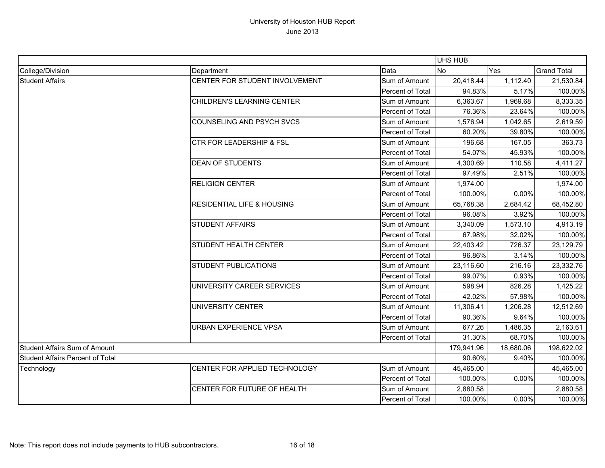|                                  |                                       |                  | UHS HUB    |           |                    |
|----------------------------------|---------------------------------------|------------------|------------|-----------|--------------------|
| College/Division                 | Department                            | Data             | <b>No</b>  | Yes       | <b>Grand Total</b> |
| <b>Student Affairs</b>           | CENTER FOR STUDENT INVOLVEMENT        | Sum of Amount    | 20,418.44  | 1,112.40  | 21,530.84          |
|                                  |                                       | Percent of Total | 94.83%     | 5.17%     | 100.00%            |
|                                  | <b>CHILDREN'S LEARNING CENTER</b>     | Sum of Amount    | 6,363.67   | 1,969.68  | 8,333.35           |
|                                  |                                       | Percent of Total | 76.36%     | 23.64%    | 100.00%            |
|                                  | <b>COUNSELING AND PSYCH SVCS</b>      | Sum of Amount    | 1,576.94   | 1,042.65  | 2,619.59           |
|                                  |                                       | Percent of Total | 60.20%     | 39.80%    | 100.00%            |
|                                  | <b>CTR FOR LEADERSHIP &amp; FSL</b>   | Sum of Amount    | 196.68     | 167.05    | 363.73             |
|                                  |                                       | Percent of Total | 54.07%     | 45.93%    | 100.00%            |
|                                  | <b>DEAN OF STUDENTS</b>               | Sum of Amount    | 4,300.69   | 110.58    | 4,411.27           |
|                                  |                                       | Percent of Total | 97.49%     | 2.51%     | 100.00%            |
|                                  | <b>RELIGION CENTER</b>                | Sum of Amount    | 1,974.00   |           | 1,974.00           |
|                                  |                                       | Percent of Total | 100.00%    | 0.00%     | 100.00%            |
|                                  | <b>RESIDENTIAL LIFE &amp; HOUSING</b> | Sum of Amount    | 65,768.38  | 2,684.42  | 68,452.80          |
|                                  |                                       | Percent of Total | 96.08%     | 3.92%     | 100.00%            |
|                                  | <b>STUDENT AFFAIRS</b>                | Sum of Amount    | 3,340.09   | 1,573.10  | 4,913.19           |
|                                  |                                       | Percent of Total | 67.98%     | 32.02%    | 100.00%            |
|                                  | <b>STUDENT HEALTH CENTER</b>          | Sum of Amount    | 22,403.42  | 726.37    | 23,129.79          |
|                                  |                                       | Percent of Total | 96.86%     | 3.14%     | 100.00%            |
|                                  | <b>STUDENT PUBLICATIONS</b>           | Sum of Amount    | 23,116.60  | 216.16    | 23,332.76          |
|                                  |                                       | Percent of Total | 99.07%     | 0.93%     | 100.00%            |
|                                  | UNIVERSITY CAREER SERVICES            | Sum of Amount    | 598.94     | 826.28    | 1,425.22           |
|                                  |                                       | Percent of Total | 42.02%     | 57.98%    | 100.00%            |
|                                  | UNIVERSITY CENTER                     | Sum of Amount    | 11,306.41  | 1,206.28  | 12,512.69          |
|                                  |                                       | Percent of Total | 90.36%     | 9.64%     | 100.00%            |
|                                  | <b>URBAN EXPERIENCE VPSA</b>          | Sum of Amount    | 677.26     | 1,486.35  | 2,163.61           |
|                                  |                                       | Percent of Total | 31.30%     | 68.70%    | 100.00%            |
| Student Affairs Sum of Amount    |                                       |                  | 179,941.96 | 18,680.06 | 198,622.02         |
| Student Affairs Percent of Total |                                       | 90.60%           | 9.40%      | 100.00%   |                    |
| Technology                       | CENTER FOR APPLIED TECHNOLOGY         | Sum of Amount    | 45,465.00  |           | 45,465.00          |
|                                  |                                       | Percent of Total | 100.00%    | 0.00%     | 100.00%            |
|                                  | CENTER FOR FUTURE OF HEALTH           | Sum of Amount    | 2,880.58   |           | 2,880.58           |
|                                  |                                       | Percent of Total | 100.00%    | 0.00%     | 100.00%            |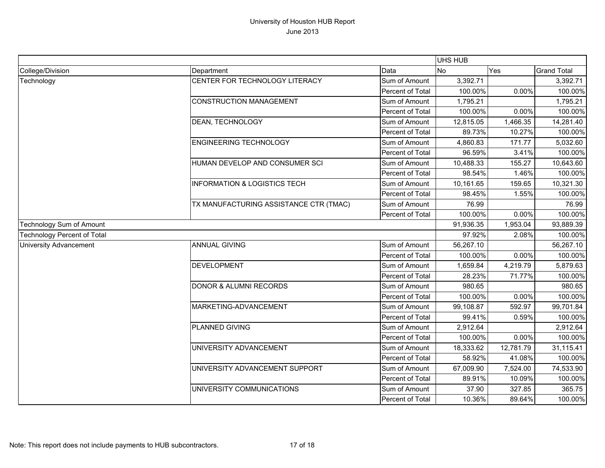|                                    |                                         |                  | UHS HUB   |           |                    |
|------------------------------------|-----------------------------------------|------------------|-----------|-----------|--------------------|
| College/Division                   | Department                              | Data             | <b>No</b> | Yes       | <b>Grand Total</b> |
| Technology                         | CENTER FOR TECHNOLOGY LITERACY          | Sum of Amount    | 3,392.71  |           | 3,392.71           |
|                                    |                                         | Percent of Total | 100.00%   | 0.00%     | 100.00%            |
|                                    | <b>CONSTRUCTION MANAGEMENT</b>          | Sum of Amount    | 1,795.21  |           | 1,795.21           |
|                                    |                                         | Percent of Total | 100.00%   | 0.00%     | 100.00%            |
|                                    | DEAN, TECHNOLOGY                        | Sum of Amount    | 12,815.05 | 1,466.35  | 14,281.40          |
|                                    |                                         | Percent of Total | 89.73%    | 10.27%    | 100.00%            |
|                                    | <b>ENGINEERING TECHNOLOGY</b>           | Sum of Amount    | 4,860.83  | 171.77    | 5,032.60           |
|                                    |                                         | Percent of Total | 96.59%    | 3.41%     | 100.00%            |
|                                    | HUMAN DEVELOP AND CONSUMER SCI          | Sum of Amount    | 10,488.33 | 155.27    | 10,643.60          |
|                                    |                                         | Percent of Total | 98.54%    | 1.46%     | 100.00%            |
|                                    | <b>INFORMATION &amp; LOGISTICS TECH</b> | Sum of Amount    | 10,161.65 | 159.65    | 10,321.30          |
|                                    |                                         | Percent of Total | 98.45%    | 1.55%     | 100.00%            |
|                                    | TX MANUFACTURING ASSISTANCE CTR (TMAC)  | Sum of Amount    | 76.99     |           | 76.99              |
|                                    |                                         | Percent of Total | 100.00%   | 0.00%     | 100.00%            |
| <b>Technology Sum of Amount</b>    |                                         | 91,936.35        | 1,953.04  | 93,889.39 |                    |
| <b>Technology Percent of Total</b> |                                         |                  | 97.92%    | 2.08%     | 100.00%            |
| <b>University Advancement</b>      | <b>ANNUAL GIVING</b>                    | Sum of Amount    | 56,267.10 |           | 56,267.10          |
|                                    |                                         | Percent of Total | 100.00%   | 0.00%     | 100.00%            |
|                                    | <b>DEVELOPMENT</b>                      | Sum of Amount    | 1,659.84  | 4,219.79  | 5,879.63           |
|                                    |                                         | Percent of Total | 28.23%    | 71.77%    | 100.00%            |
|                                    | <b>DONOR &amp; ALUMNI RECORDS</b>       | Sum of Amount    | 980.65    |           | 980.65             |
|                                    |                                         | Percent of Total | 100.00%   | 0.00%     | 100.00%            |
|                                    | MARKETING-ADVANCEMENT                   | Sum of Amount    | 99,108.87 | 592.97    | 99,701.84          |
|                                    |                                         | Percent of Total | 99.41%    | 0.59%     | 100.00%            |
|                                    | PLANNED GIVING                          | Sum of Amount    | 2,912.64  |           | 2,912.64           |
|                                    |                                         | Percent of Total | 100.00%   | 0.00%     | 100.00%            |
|                                    | UNIVERSITY ADVANCEMENT                  | Sum of Amount    | 18,333.62 | 12,781.79 | 31,115.41          |
|                                    |                                         | Percent of Total | 58.92%    | 41.08%    | 100.00%            |
|                                    | UNIVERSITY ADVANCEMENT SUPPORT          | Sum of Amount    | 67,009.90 | 7,524.00  | 74,533.90          |
|                                    |                                         | Percent of Total | 89.91%    | 10.09%    | 100.00%            |
|                                    | UNIVERSITY COMMUNICATIONS               | Sum of Amount    | 37.90     | 327.85    | 365.75             |
|                                    |                                         | Percent of Total | 10.36%    | 89.64%    | 100.00%            |